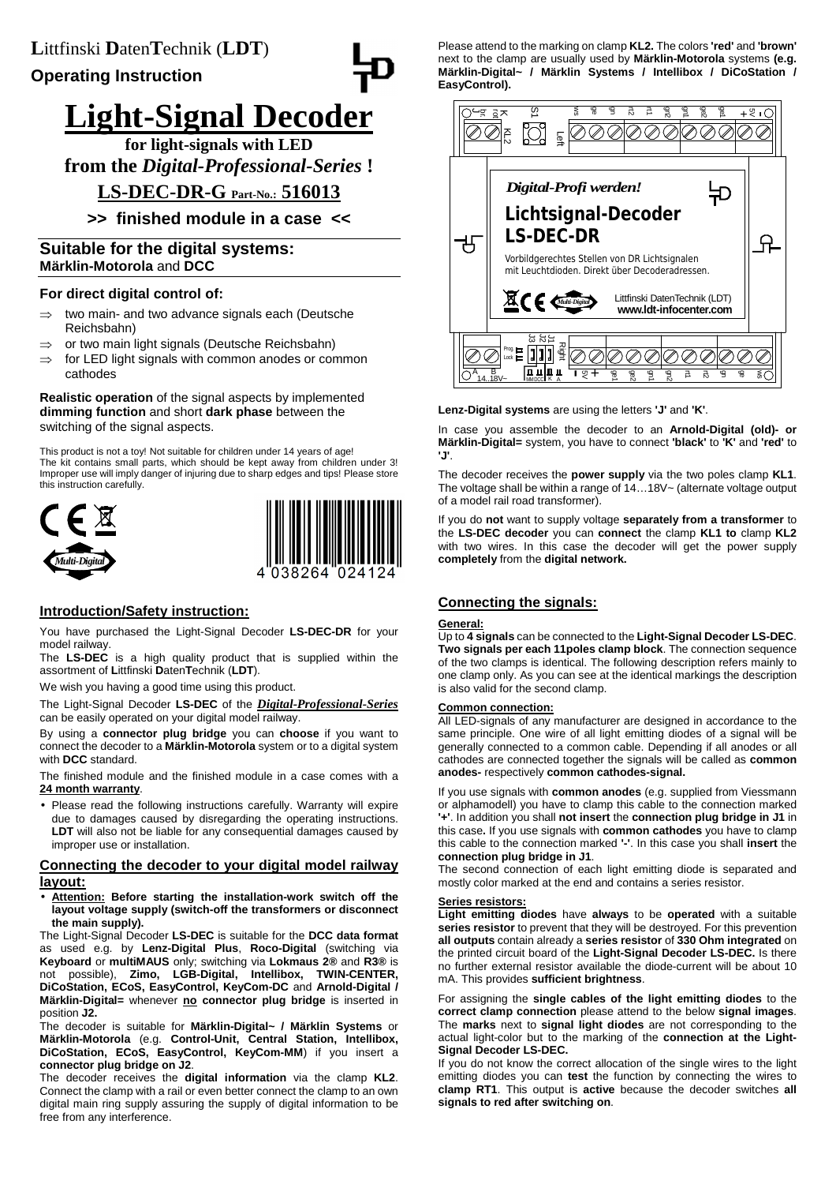#### **Operating Instruction** I

# **Light-Signal Decoder**

**for light-signals with LED from the** *Digital-Professional-Series* **!**

## **LS-DEC-DR-G Part-No.: 516013**

## **>> finished module in a case <<**

## **Suitable for the digital systems: Märklin-Motorola** and **DCC**

#### **For direct digital control of:**

- ⇒ two main- and two advance signals each (Deutsche Reichsbahn)
- ⇒ or two main light signals (Deutsche Reichsbahn)
- $\Rightarrow$  for LED light signals with common anodes or common cathodes

#### **Realistic operation** of the signal aspects by implemented **dimming function** and short **dark phase** between the switching of the signal aspects.

This product is not a toy! Not suitable for children under 14 years of age! The kit contains small parts, which should be kept away from children under 3! Improper use will imply danger of injuring due to sharp edges and tips! Please store this instruction carefully.





## **Introduction/Safety instruction:**

You have purchased the Light-Signal Decoder **LS-DEC-DR** for your model railway.

The **LS-DEC** is a high quality product that is supplied within the assortment of **L**ittfinski **D**aten**T**echnik (**LDT**).

We wish you having a good time using this product.

The Light-Signal Decoder **LS-DEC** of the *Digital-Professional-Series* can be easily operated on your digital model railway.

By using a **connector plug bridge** you can **choose** if you want to connect the decoder to a **Märklin-Motorola** system or to a digital system with **DCC** standard.

The finished module and the finished module in a case comes with a **24 month warranty**.

• Please read the following instructions carefully. Warranty will expire due to damages caused by disregarding the operating instructions. **LDT** will also not be liable for any consequential damages caused by improper use or installation.

#### **Connecting the decoder to your digital model railway layout:**

• **Attention: Before starting the installation-work switch off the layout voltage supply (switch-off the transformers or disconnect the main supply).**

The Light-Signal Decoder **LS-DEC** is suitable for the **DCC data format** as used e.g. by **Lenz-Digital Plus**, **Roco-Digital** (switching via **Keyboard** or **multiMAUS** only; switching via **Lokmaus 2®** and **R3®** is not possible), **Zimo, LGB-Digital, Intellibox, TWIN-CENTER, DiCoStation, ECoS, EasyControl, KeyCom-DC** and **Arnold-Digital / Märklin-Digital=** whenever **no connector plug bridge** is inserted in position **J2.** 

The decoder is suitable for **Märklin-Digital~ / Märklin Systems** or **Märklin-Motorola** (e.g. **Control-Unit, Central Station, Intellibox, DiCoStation, ECoS, EasyControl, KeyCom-MM**) if you insert a **connector plug bridge on J2**.

The decoder receives the **digital information** via the clamp **KL2**. Connect the clamp with a rail or even better connect the clamp to an own digital main ring supply assuring the supply of digital information to be free from any interference.

Please attend to the marking on clamp **KL2.** The colors **'red'** and **'brown'** next to the clamp are usually used by **Märklin-Motorola** systems **(e.g. Märklin-Digital~ / Märklin Systems / Intellibox / DiCoStation / EasyControl).** 



**Lenz-Digital systems** are using the letters **'J'** and **'K'**.

In case you assemble the decoder to an **Arnold-Digital (old)- or Märklin-Digital=** system, you have to connect **'black'** to **'K'** and **'red'** to **'J'**.

The decoder receives the **power supply** via the two poles clamp **KL1**. The voltage shall be within a range of 14…18V~ (alternate voltage output of a model rail road transformer).

If you do **not** want to supply voltage **separately from a transformer** to the **LS-DEC decoder** you can **connect** the clamp **KL1 to** clamp **KL2** with two wires. In this case the decoder will get the power supply **completely** from the **digital network.** 

## **Connecting the signals:**

## **General:**

Up to **4 signals** can be connected to the **Light-Signal Decoder LS-DEC**. **Two signals per each 11poles clamp block**. The connection sequence of the two clamps is identical. The following description refers mainly to one clamp only. As you can see at the identical markings the description is also valid for the second clamp.

### **Common connection:**

All LED-signals of any manufacturer are designed in accordance to the same principle. One wire of all light emitting diodes of a signal will be generally connected to a common cable. Depending if all anodes or all cathodes are connected together the signals will be called as **common anodes-** respectively **common cathodes-signal.**

If you use signals with **common anodes** (e.g. supplied from Viessmann or alphamodell) you have to clamp this cable to the connection marked **'+'**. In addition you shall **not insert** the **connection plug bridge in J1** in this case**.** If you use signals with **common cathodes** you have to clamp this cable to the connection marked **'-'**. In this case you shall **insert** the **connection plug bridge in J1**.

The second connection of each light emitting diode is separated and mostly color marked at the end and contains a series resistor.

#### **Series resistors:**

**Light emitting diodes** have **always** to be **operated** with a suitable **series resistor** to prevent that they will be destroyed. For this prevention **all outputs** contain already a **series resistor** of **330 Ohm integrated** on the printed circuit board of the **Light-Signal Decoder LS-DEC.** Is there no further external resistor available the diode-current will be about 10 mA. This provides **sufficient brightness**.

For assigning the **single cables of the light emitting diodes** to the **correct clamp connection** please attend to the below **signal images**. The **marks** next to **signal light diodes** are not corresponding to the actual light-color but to the marking of the **connection at the Light-Signal Decoder LS-DEC.**

If you do not know the correct allocation of the single wires to the light emitting diodes you can **test** the function by connecting the wires to **clamp RT1**. This output is **active** because the decoder switches **all signals to red after switching on**.